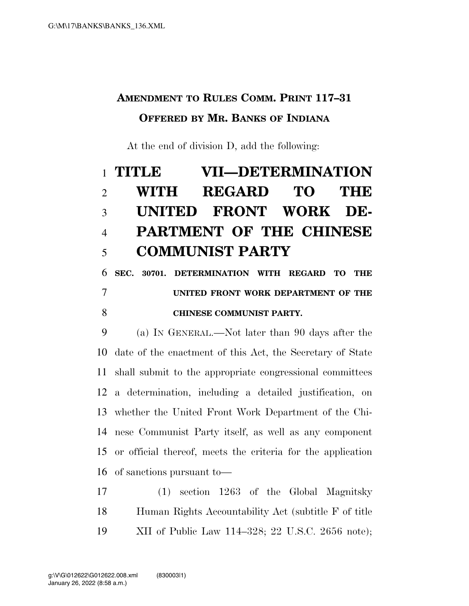## **AMENDMENT TO RULES COMM. PRINT 117–31 OFFERED BY MR. BANKS OF INDIANA**

At the end of division D, add the following:

## **TITLE VII—DETERMINATION WITH REGARD TO THE UNITED FRONT WORK DE- PARTMENT OF THE CHINESE COMMUNIST PARTY SEC. 30701. DETERMINATION WITH REGARD TO THE**

## **UNITED FRONT WORK DEPARTMENT OF THE CHINESE COMMUNIST PARTY.**

 (a) IN GENERAL.—Not later than 90 days after the date of the enactment of this Act, the Secretary of State shall submit to the appropriate congressional committees a determination, including a detailed justification, on whether the United Front Work Department of the Chi- nese Communist Party itself, as well as any component or official thereof, meets the criteria for the application of sanctions pursuant to—

 (1) section 1263 of the Global Magnitsky Human Rights Accountability Act (subtitle F of title XII of Public Law 114–328; 22 U.S.C. 2656 note);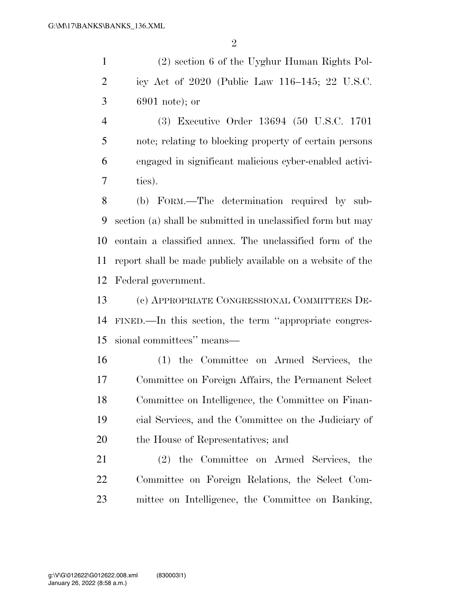(2) section 6 of the Uyghur Human Rights Pol- icy Act of 2020 (Public Law 116–145; 22 U.S.C. 6901 note); or

 (3) Executive Order 13694 (50 U.S.C. 1701 note; relating to blocking property of certain persons engaged in significant malicious cyber-enabled activi-ties).

 (b) FORM.—The determination required by sub- section (a) shall be submitted in unclassified form but may contain a classified annex. The unclassified form of the report shall be made publicly available on a website of the Federal government.

 (c) APPROPRIATE CONGRESSIONAL COMMITTEES DE- FINED.—In this section, the term ''appropriate congres-sional committees'' means—

 (1) the Committee on Armed Services, the Committee on Foreign Affairs, the Permanent Select Committee on Intelligence, the Committee on Finan- cial Services, and the Committee on the Judiciary of the House of Representatives; and

 (2) the Committee on Armed Services, the Committee on Foreign Relations, the Select Com-mittee on Intelligence, the Committee on Banking,